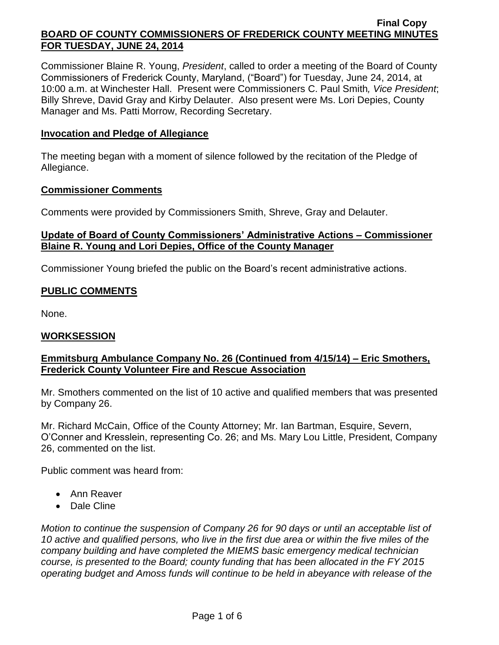Commissioner Blaine R. Young, *President*, called to order a meeting of the Board of County Commissioners of Frederick County, Maryland, ("Board") for Tuesday, June 24, 2014, at 10:00 a.m. at Winchester Hall. Present were Commissioners C. Paul Smith*, Vice President*; Billy Shreve, David Gray and Kirby Delauter. Also present were Ms. Lori Depies, County Manager and Ms. Patti Morrow, Recording Secretary.

### **Invocation and Pledge of Allegiance**

The meeting began with a moment of silence followed by the recitation of the Pledge of Allegiance.

### **Commissioner Comments**

Comments were provided by Commissioners Smith, Shreve, Gray and Delauter.

# **Update of Board of County Commissioners' Administrative Actions – Commissioner Blaine R. Young and Lori Depies, Office of the County Manager**

Commissioner Young briefed the public on the Board's recent administrative actions.

# **PUBLIC COMMENTS**

None.

# **WORKSESSION**

# **Emmitsburg Ambulance Company No. 26 (Continued from 4/15/14) – Eric Smothers, Frederick County Volunteer Fire and Rescue Association**

Mr. Smothers commented on the list of 10 active and qualified members that was presented by Company 26.

Mr. Richard McCain, Office of the County Attorney; Mr. Ian Bartman, Esquire, Severn, O'Conner and Kresslein, representing Co. 26; and Ms. Mary Lou Little, President, Company 26, commented on the list.

Public comment was heard from:

- Ann Reaver
- Dale Cline

*Motion to continue the suspension of Company 26 for 90 days or until an acceptable list of 10 active and qualified persons, who live in the first due area or within the five miles of the company building and have completed the MIEMS basic emergency medical technician course, is presented to the Board; county funding that has been allocated in the FY 2015 operating budget and Amoss funds will continue to be held in abeyance with release of the*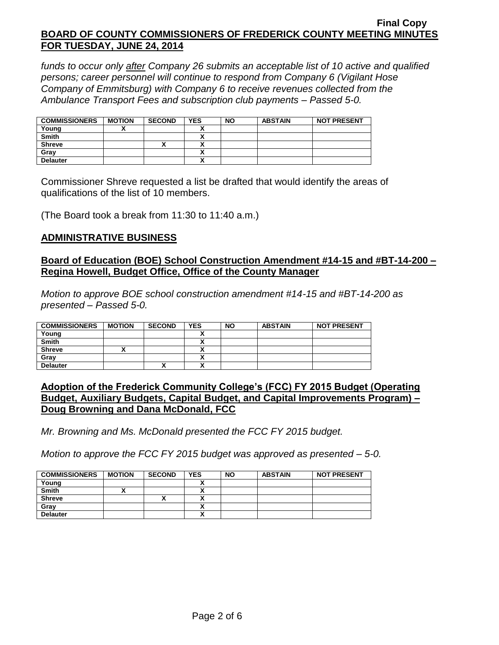*funds to occur only after Company 26 submits an acceptable list of 10 active and qualified persons; career personnel will continue to respond from Company 6 (Vigilant Hose Company of Emmitsburg) with Company 6 to receive revenues collected from the Ambulance Transport Fees and subscription club payments – Passed 5-0.*

| <b>COMMISSIONERS</b> | <b>MOTION</b> | <b>SECOND</b> | <b>YES</b>           | <b>NO</b> | <b>ABSTAIN</b> | <b>NOT PRESENT</b> |
|----------------------|---------------|---------------|----------------------|-----------|----------------|--------------------|
| Young                |               |               |                      |           |                |                    |
| <b>Smith</b>         |               |               |                      |           |                |                    |
| <b>Shreve</b>        |               |               | $\ddot{\phantom{0}}$ |           |                |                    |
| Grav                 |               |               |                      |           |                |                    |
| <b>Delauter</b>      |               |               | v                    |           |                |                    |

Commissioner Shreve requested a list be drafted that would identify the areas of qualifications of the list of 10 members.

(The Board took a break from 11:30 to 11:40 a.m.)

### **ADMINISTRATIVE BUSINESS**

### **Board of Education (BOE) School Construction Amendment #14-15 and #BT-14-200 – Regina Howell, Budget Office, Office of the County Manager**

*Motion to approve BOE school construction amendment #14-15 and #BT-14-200 as presented – Passed 5-0.*

| <b>COMMISSIONERS</b> | <b>MOTION</b> | <b>SECOND</b> | <b>YES</b> | <b>NO</b> | <b>ABSTAIN</b> | <b>NOT PRESENT</b> |
|----------------------|---------------|---------------|------------|-----------|----------------|--------------------|
| Young                |               |               |            |           |                |                    |
| <b>Smith</b>         |               |               |            |           |                |                    |
| <b>Shreve</b>        |               |               |            |           |                |                    |
| Grav                 |               |               |            |           |                |                    |
| <b>Delauter</b>      |               | ,,            |            |           |                |                    |

### **Adoption of the Frederick Community College's (FCC) FY 2015 Budget (Operating Budget, Auxiliary Budgets, Capital Budget, and Capital Improvements Program) – Doug Browning and Dana McDonald, FCC**

*Mr. Browning and Ms. McDonald presented the FCC FY 2015 budget.*

*Motion to approve the FCC FY 2015 budget was approved as presented – 5-0.*

| <b>COMMISSIONERS</b> | <b>MOTION</b> | <b>SECOND</b> | <b>YES</b> | <b>NO</b> | <b>ABSTAIN</b> | <b>NOT PRESENT</b> |
|----------------------|---------------|---------------|------------|-----------|----------------|--------------------|
| Young                |               |               |            |           |                |                    |
| <b>Smith</b>         |               |               |            |           |                |                    |
| <b>Shreve</b>        |               |               |            |           |                |                    |
| Gray                 |               |               |            |           |                |                    |
| <b>Delauter</b>      |               |               | n          |           |                |                    |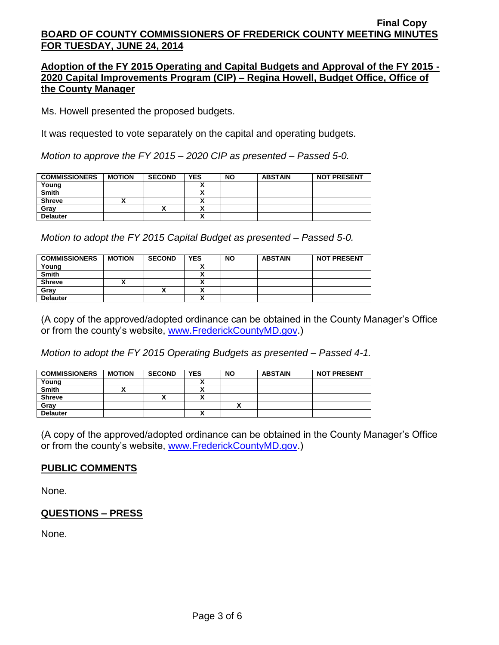### **Adoption of the FY 2015 Operating and Capital Budgets and Approval of the FY 2015 - 2020 Capital Improvements Program (CIP) – Regina Howell, Budget Office, Office of the County Manager**

Ms. Howell presented the proposed budgets.

It was requested to vote separately on the capital and operating budgets.

*Motion to approve the FY 2015 – 2020 CIP as presented – Passed 5-0.*

| <b>COMMISSIONERS</b> | <b>MOTION</b> | <b>SECOND</b> | <b>YES</b> | <b>NO</b> | <b>ABSTAIN</b> | <b>NOT PRESENT</b> |
|----------------------|---------------|---------------|------------|-----------|----------------|--------------------|
| Young                |               |               |            |           |                |                    |
| <b>Smith</b>         |               |               |            |           |                |                    |
| <b>Shreve</b>        | ,,            |               |            |           |                |                    |
| Gray                 |               | Δ             |            |           |                |                    |
| <b>Delauter</b>      |               |               |            |           |                |                    |

*Motion to adopt the FY 2015 Capital Budget as presented – Passed 5-0.*

| <b>COMMISSIONERS</b> | <b>MOTION</b> | <b>SECOND</b> | <b>YES</b> | <b>NO</b> | <b>ABSTAIN</b> | <b>NOT PRESENT</b> |
|----------------------|---------------|---------------|------------|-----------|----------------|--------------------|
| Young                |               |               |            |           |                |                    |
| Smith                |               |               |            |           |                |                    |
| <b>Shreve</b>        | ,,            |               |            |           |                |                    |
| Gray                 |               | Λ             |            |           |                |                    |
| <b>Delauter</b>      |               |               |            |           |                |                    |

(A copy of the approved/adopted ordinance can be obtained in the County Manager's Office or from the county's website, [www.FrederickCountyMD.gov.](http://www.frederickcountymd.gov/))

*Motion to adopt the FY 2015 Operating Budgets as presented – Passed 4-1.*

| <b>COMMISSIONERS</b> | <b>MOTION</b> | <b>SECOND</b> | <b>YES</b> | <b>NO</b> | <b>ABSTAIN</b> | <b>NOT PRESENT</b> |
|----------------------|---------------|---------------|------------|-----------|----------------|--------------------|
| Young                |               |               |            |           |                |                    |
| <b>Smith</b>         |               |               |            |           |                |                    |
| <b>Shreve</b>        |               |               |            |           |                |                    |
| Gray                 |               |               |            |           |                |                    |
| <b>Delauter</b>      |               |               |            |           |                |                    |

(A copy of the approved/adopted ordinance can be obtained in the County Manager's Office or from the county's website, [www.FrederickCountyMD.gov.](http://www.frederickcountymd.gov/))

# **PUBLIC COMMENTS**

None.

# **QUESTIONS – PRESS**

None.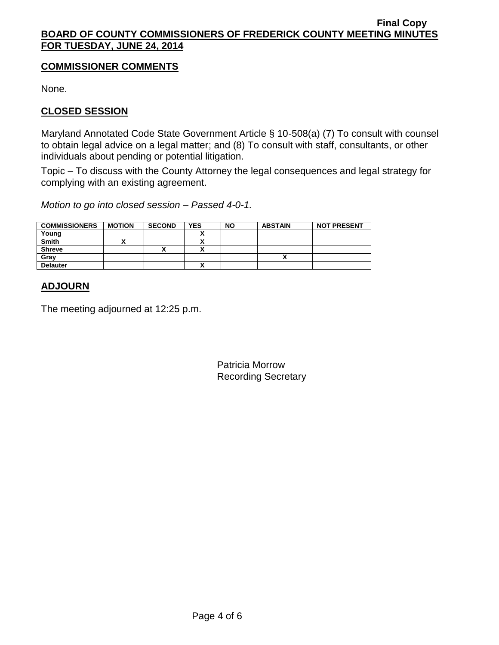# **COMMISSIONER COMMENTS**

None.

# **CLOSED SESSION**

Maryland Annotated Code State Government Article § 10-508(a) (7) To consult with counsel to obtain legal advice on a legal matter; and (8) To consult with staff, consultants, or other individuals about pending or potential litigation.

Topic – To discuss with the County Attorney the legal consequences and legal strategy for complying with an existing agreement.

*Motion to go into closed session – Passed 4-0-1.*

| <b>COMMISSIONERS</b> | <b>MOTION</b> | <b>SECOND</b> | <b>YES</b> | <b>NO</b> | <b>ABSTAIN</b> | <b>NOT PRESENT</b> |
|----------------------|---------------|---------------|------------|-----------|----------------|--------------------|
| Young                |               |               |            |           |                |                    |
| <b>Smith</b>         |               |               |            |           |                |                    |
| <b>Shreve</b>        |               | ^             |            |           |                |                    |
| Gray                 |               |               |            |           |                |                    |
| <b>Delauter</b>      |               |               | ~          |           |                |                    |

# **ADJOURN**

The meeting adjourned at 12:25 p.m.

Patricia Morrow Recording Secretary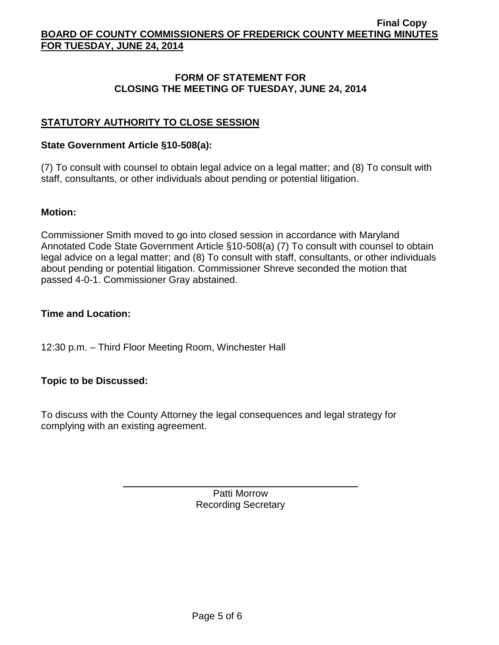# **FORM OF STATEMENT FOR CLOSING THE MEETING OF TUESDAY, JUNE 24, 2014**

# **STATUTORY AUTHORITY TO CLOSE SESSION**

### **State Government Article §10-508(a):**

(7) To consult with counsel to obtain legal advice on a legal matter; and (8) To consult with staff, consultants, or other individuals about pending or potential litigation.

### **Motion:**

Commissioner Smith moved to go into closed session in accordance with Maryland Annotated Code State Government Article §10-508(a) (7) To consult with counsel to obtain legal advice on a legal matter; and (8) To consult with staff, consultants, or other individuals about pending or potential litigation. Commissioner Shreve seconded the motion that passed 4-0-1. Commissioner Gray abstained.

# **Time and Location:**

12:30 p.m. – Third Floor Meeting Room, Winchester Hall

# **Topic to be Discussed:**

To discuss with the County Attorney the legal consequences and legal strategy for complying with an existing agreement.

> Patti Morrow Recording Secretary